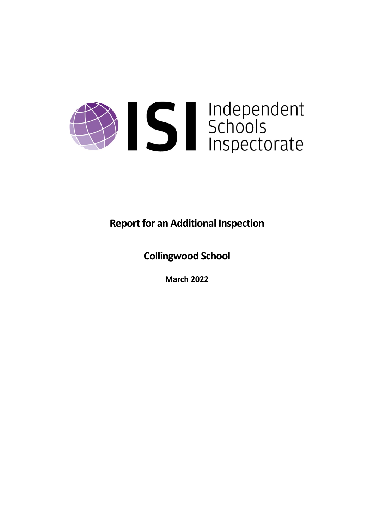

**Report for an Additional Inspection** 

**Collingwood School**

**March 2022**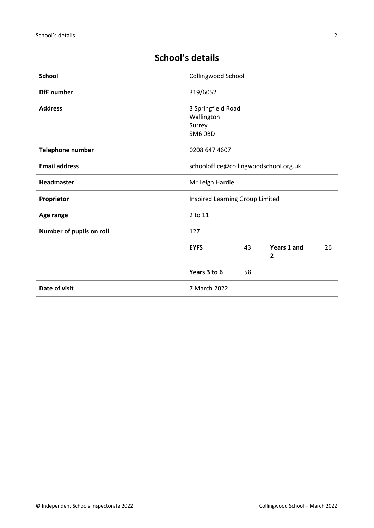| <b>School</b>            | Collingwood School                                    |    |                                    |    |
|--------------------------|-------------------------------------------------------|----|------------------------------------|----|
| <b>DfE</b> number        | 319/6052                                              |    |                                    |    |
| <b>Address</b>           | 3 Springfield Road<br>Wallington<br>Surrey<br>SM6 OBD |    |                                    |    |
| <b>Telephone number</b>  | 0208 647 4607                                         |    |                                    |    |
| <b>Email address</b>     | schooloffice@collingwoodschool.org.uk                 |    |                                    |    |
| <b>Headmaster</b>        | Mr Leigh Hardie                                       |    |                                    |    |
| Proprietor               | Inspired Learning Group Limited                       |    |                                    |    |
| Age range                | 2 to 11                                               |    |                                    |    |
| Number of pupils on roll | 127                                                   |    |                                    |    |
|                          | <b>EYFS</b>                                           | 43 | <b>Years 1 and</b><br>$\mathbf{2}$ | 26 |
|                          | Years 3 to 6                                          | 58 |                                    |    |
| Date of visit            | 7 March 2022                                          |    |                                    |    |

# **School's details**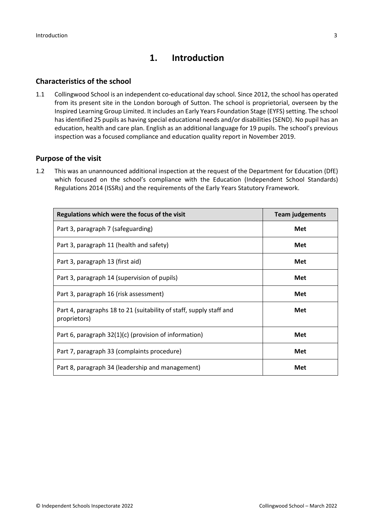# **1. Introduction**

### **Characteristics of the school**

1.1 Collingwood School is an independent co-educational day school. Since 2012, the school has operated from its present site in the London borough of Sutton. The school is proprietorial, overseen by the Inspired Learning Group Limited. It includes an Early Years Foundation Stage (EYFS) setting. The school has identified 25 pupils as having special educational needs and/or disabilities (SEND). No pupil has an education, health and care plan. English as an additional language for 19 pupils. The school's previous inspection was a focused compliance and education quality report in November 2019.

### **Purpose of the visit**

1.2 This was an unannounced additional inspection at the request of the Department for Education (DfE) which focused on the school's compliance with the Education (Independent School Standards) Regulations 2014 (ISSRs) and the requirements of the Early Years Statutory Framework.

| Regulations which were the focus of the visit                                       | <b>Team judgements</b> |  |
|-------------------------------------------------------------------------------------|------------------------|--|
| Part 3, paragraph 7 (safeguarding)                                                  | Met                    |  |
| Part 3, paragraph 11 (health and safety)                                            | Met                    |  |
| Part 3, paragraph 13 (first aid)                                                    | Met                    |  |
| Part 3, paragraph 14 (supervision of pupils)                                        | Met                    |  |
| Part 3, paragraph 16 (risk assessment)                                              | Met                    |  |
| Part 4, paragraphs 18 to 21 (suitability of staff, supply staff and<br>proprietors) | Met                    |  |
| Part 6, paragraph 32(1)(c) (provision of information)                               | Met                    |  |
| Part 7, paragraph 33 (complaints procedure)                                         | Met                    |  |
| Part 8, paragraph 34 (leadership and management)                                    | Met                    |  |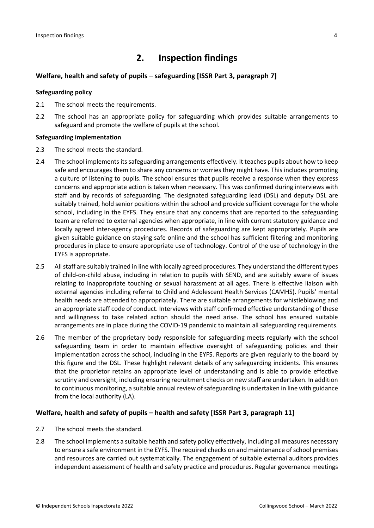## **2. Inspection findings**

### **Welfare, health and safety of pupils – safeguarding [ISSR Part 3, paragraph 7]**

#### **Safeguarding policy**

- 2.1 The school meets the requirements.
- 2.2 The school has an appropriate policy for safeguarding which provides suitable arrangements to safeguard and promote the welfare of pupils at the school.

#### **Safeguarding implementation**

- 2.3 The school meets the standard.
- 2.4 The school implements its safeguarding arrangements effectively. It teaches pupils about how to keep safe and encourages them to share any concerns or worries they might have. This includes promoting a culture of listening to pupils. The school ensures that pupils receive a response when they express concerns and appropriate action is taken when necessary. This was confirmed during interviews with staff and by records of safeguarding. The designated safeguarding lead (DSL) and deputy DSL are suitably trained, hold senior positions within the school and provide sufficient coverage for the whole school, including in the EYFS. They ensure that any concerns that are reported to the safeguarding team are referred to external agencies when appropriate, in line with current statutory guidance and locally agreed inter-agency procedures. Records of safeguarding are kept appropriately. Pupils are given suitable guidance on staying safe online and the school has sufficient filtering and monitoring procedures in place to ensure appropriate use of technology. Control of the use of technology in the EYFS is appropriate.
- 2.5 All staff are suitably trained in line with locally agreed procedures. They understand the different types of child-on-child abuse, including in relation to pupils with SEND, and are suitably aware of issues relating to inappropriate touching or sexual harassment at all ages. There is effective liaison with external agencies including referral to Child and Adolescent Health Services (CAMHS). Pupils' mental health needs are attended to appropriately. There are suitable arrangements for whistleblowing and an appropriate staff code of conduct. Interviews with staff confirmed effective understanding of these and willingness to take related action should the need arise. The school has ensured suitable arrangements are in place during the COVID-19 pandemic to maintain all safeguarding requirements.
- 2.6 The member of the proprietary body responsible for safeguarding meets regularly with the school safeguarding team in order to maintain effective oversight of safeguarding policies and their implementation across the school, including in the EYFS. Reports are given regularly to the board by this figure and the DSL. These highlight relevant details of any safeguarding incidents. This ensures that the proprietor retains an appropriate level of understanding and is able to provide effective scrutiny and oversight, including ensuring recruitment checks on new staff are undertaken. In addition to continuous monitoring, a suitable annual review of safeguarding is undertaken in line with guidance from the local authority (LA).

#### **Welfare, health and safety of pupils – health and safety [ISSR Part 3, paragraph 11]**

- 2.7 The school meets the standard.
- 2.8 The school implements a suitable health and safety policy effectively, including all measures necessary to ensure a safe environment in the EYFS. The required checks on and maintenance ofschool premises and resources are carried out systematically. The engagement of suitable external auditors provides independent assessment of health and safety practice and procedures. Regular governance meetings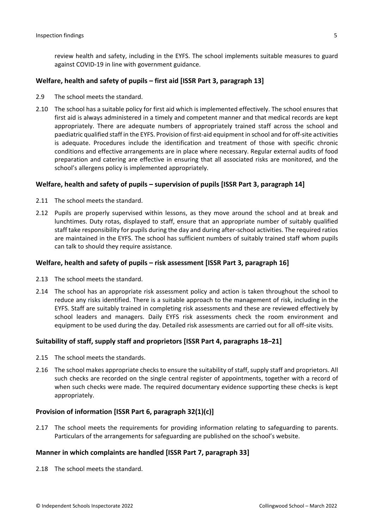review health and safety, including in the EYFS. The school implements suitable measures to guard against COVID-19 in line with government guidance.

#### **Welfare, health and safety of pupils – first aid [ISSR Part 3, paragraph 13]**

- 2.9 The school meets the standard.
- 2.10 The school has a suitable policy for first aid which is implemented effectively. The school ensures that first aid is always administered in a timely and competent manner and that medical records are kept appropriately. There are adequate numbers of appropriately trained staff across the school and paediatric qualified staff in the EYFS. Provision of first-aid equipment in school and for off-site activities is adequate. Procedures include the identification and treatment of those with specific chronic conditions and effective arrangements are in place where necessary. Regular external audits of food preparation and catering are effective in ensuring that all associated risks are monitored, and the school's allergens policy is implemented appropriately.

#### **Welfare, health and safety of pupils – supervision of pupils [ISSR Part 3, paragraph 14]**

- 2.11 The school meets the standard.
- 2.12 Pupils are properly supervised within lessons, as they move around the school and at break and lunchtimes. Duty rotas, displayed to staff, ensure that an appropriate number of suitably qualified staff take responsibility for pupils during the day and during after-school activities. The required ratios are maintained in the EYFS. The school has sufficient numbers of suitably trained staff whom pupils can talk to should they require assistance.

#### **Welfare, health and safety of pupils – risk assessment [ISSR Part 3, paragraph 16]**

- 2.13 The school meets the standard.
- 2.14 The school has an appropriate risk assessment policy and action is taken throughout the school to reduce any risks identified. There is a suitable approach to the management of risk, including in the EYFS. Staff are suitably trained in completing risk assessments and these are reviewed effectively by school leaders and managers. Daily EYFS risk assessments check the room environment and equipment to be used during the day. Detailed risk assessments are carried out for all off-site visits.

#### **Suitability of staff, supply staff and proprietors [ISSR Part 4, paragraphs 18–21]**

- 2.15 The school meets the standards.
- 2.16 The school makes appropriate checks to ensure the suitability of staff, supply staff and proprietors. All such checks are recorded on the single central register of appointments, together with a record of when such checks were made. The required documentary evidence supporting these checks is kept appropriately.

#### **Provision of information [ISSR Part 6, paragraph 32(1)(c)]**

2.17 The school meets the requirements for providing information relating to safeguarding to parents. Particulars of the arrangements for safeguarding are published on the school's website.

#### **Manner in which complaints are handled [ISSR Part 7, paragraph 33]**

2.18 The school meets the standard.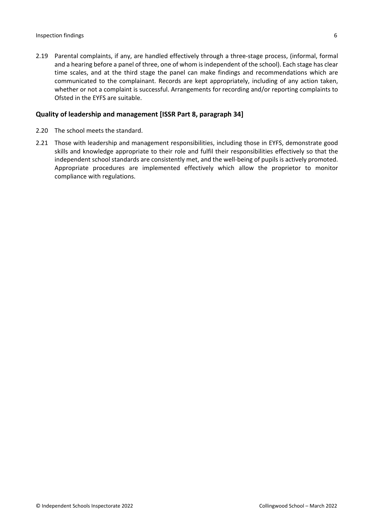2.19 Parental complaints, if any, are handled effectively through a three-stage process, (informal, formal and a hearing before a panel of three, one of whom is independent of the school). Each stage has clear time scales, and at the third stage the panel can make findings and recommendations which are communicated to the complainant. Records are kept appropriately, including of any action taken, whether or not a complaint is successful. Arrangements for recording and/or reporting complaints to Ofsted in the EYFS are suitable.

#### **Quality of leadership and management [ISSR Part 8, paragraph 34]**

- 2.20 The school meets the standard.
- 2.21 Those with leadership and management responsibilities, including those in EYFS, demonstrate good skills and knowledge appropriate to their role and fulfil their responsibilities effectively so that the independent school standards are consistently met, and the well-being of pupils is actively promoted. Appropriate procedures are implemented effectively which allow the proprietor to monitor compliance with regulations.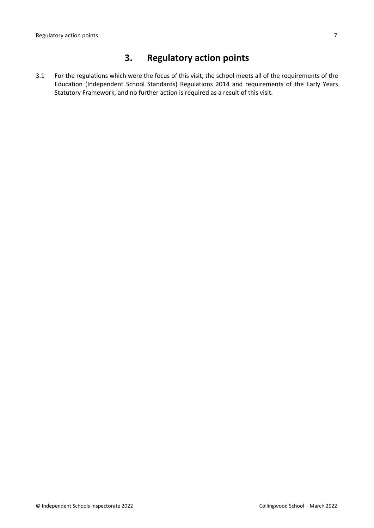# **3. Regulatory action points**

3.1 For the regulations which were the focus of this visit, the school meets all of the requirements of the Education (Independent School Standards) Regulations 2014 and requirements of the Early Years Statutory Framework, and no further action is required as a result of this visit.